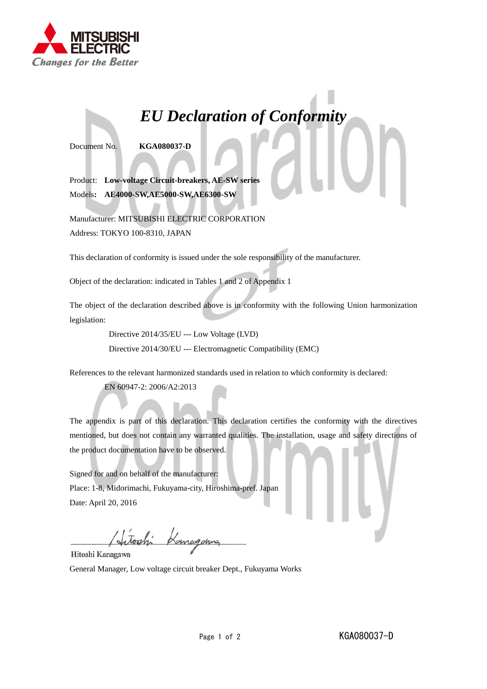

## *EU Declaration of Conformity*

Document No. **KGA080037-D**

Product: **Low-voltage Circuit-breakers, AE-SW series** Models**: AE4000-SW,AE5000-SW,AE6300-SW**

Manufacturer: MITSUBISHI ELECTRIC CORPORATION Address: TOKYO 100-8310, JAPAN

This declaration of conformity is issued under the sole responsibility of the manufacturer.

Object of the declaration: indicated in Tables 1 and 2 of Appendix 1

The object of the declaration described above is in conformity with the following Union harmonization legislation:

Directive 2014/35/EU --- Low Voltage (LVD)

Directive 2014/30/EU --- Electromagnetic Compatibility (EMC)

References to the relevant harmonized standards used in relation to which conformity is declared:

EN 60947-2: 2006/A2:2013

The appendix is part of this declaration. This declaration certifies the conformity with the directives mentioned, but does not contain any warranted qualities. The installation, usage and safety directions of the product documentation have to be observed.

Signed for and on behalf of the manufacturer: Place: 1-8, Midorimachi, Fukuyama-city, Hiroshima-pref. Japan Date: April 20, 2016

took Komagonna

Hitoshi Kanagawa

General Manager, Low voltage circuit breaker Dept., Fukuyama Works